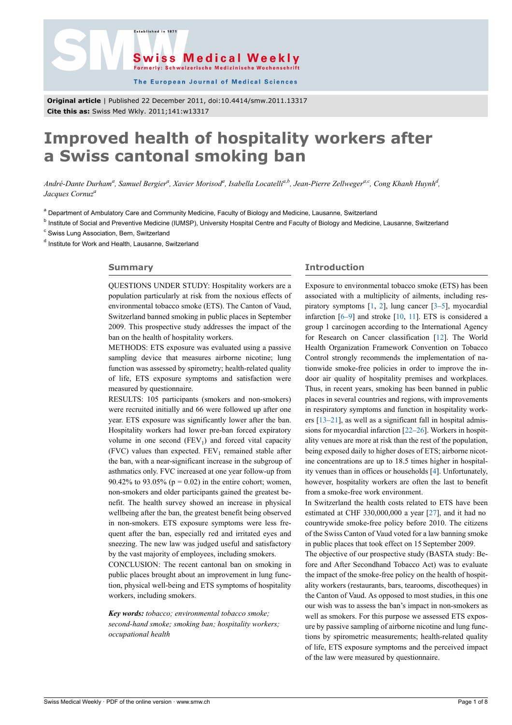



The European Journal of Medical Sciences

**Original article** | Published 22 December 2011, doi:10.4414/smw.2011.13317 **Cite this as:** Swiss Med Wkly. 2011;141:w13317

# **Improved health of hospitality workers after a Swiss cantonal smoking ban**

*André-Dante Durham<sup>a</sup> , Samuel Bergier<sup>a</sup> , Xavier Morisod<sup>a</sup> , Isabella Locatellia,b, Jean-Pierre Zellwegera,c, Cong Khanh Huynh<sup>d</sup> , Jacques Cornuz<sup>a</sup>*

<sup>a</sup> Department of Ambulatory Care and Community Medicine, Faculty of Biology and Medicine, Lausanne, Switzerland

<sup>b</sup> Institute of Social and Preventive Medicine (IUMSP), University Hospital Centre and Faculty of Biology and Medicine, Lausanne, Switzerland

<sup>c</sup> Swiss Lung Association, Bern, Switzerland

<sup>d</sup> Institute for Work and Health, Lausanne, Switzerland

#### **Summary**

QUESTIONS UNDER STUDY: Hospitality workers are a population particularly at risk from the noxious effects of environmental tobacco smoke (ETS). The Canton of Vaud, Switzerland banned smoking in public places in September 2009. This prospective study addresses the impact of the ban on the health of hospitality workers.

METHODS: ETS exposure was evaluated using a passive sampling device that measures airborne nicotine; lung function was assessed by spirometry; health-related quality of life, ETS exposure symptoms and satisfaction were measured by questionnaire.

RESULTS: 105 participants (smokers and non-smokers) were recruited initially and 66 were followed up after one year. ETS exposure was significantly lower after the ban. Hospitality workers had lower pre-ban forced expiratory volume in one second  $(FEV_1)$  and forced vital capacity  $(FVC)$  values than expected.  $FEV<sub>1</sub>$  remained stable after the ban, with a near-significant increase in the subgroup of asthmatics only. FVC increased at one year follow-up from 90.42% to 93.05% ( $p = 0.02$ ) in the entire cohort; women, non-smokers and older participants gained the greatest benefit. The health survey showed an increase in physical wellbeing after the ban, the greatest benefit being observed in non-smokers. ETS exposure symptoms were less frequent after the ban, especially red and irritated eyes and sneezing. The new law was judged useful and satisfactory by the vast majority of employees, including smokers. CONCLUSION: The recent cantonal ban on smoking in

public places brought about an improvement in lung function, physical well-being and ETS symptoms of hospitality workers, including smokers.

*Key words: tobacco; environmental tobacco smoke; second-hand smoke; smoking ban; hospitality workers; occupational health*

## **Introduction**

Exposure to environmental tobacco smoke (ETS) has been associated with a multiplicity of ailments, including respiratory symptoms  $[1, 2]$  $[1, 2]$  $[1, 2]$  $[1, 2]$ , lung cancer  $[3-5]$  $[3-5]$ , myocardial infarction [[6](#page-6-1)–[9](#page-6-2)] and stroke [\[10](#page-6-3), [11](#page-6-4)]. ETS is considered a group 1 carcinogen according to the International Agency for Research on Cancer classification [[12\]](#page-6-5). The World Health Organization Framework Convention on Tobacco Control strongly recommends the implementation of nationwide smoke-free policies in order to improve the indoor air quality of hospitality premises and workplaces. Thus, in recent years, smoking has been banned in public places in several countries and regions, with improvements in respiratory symptoms and function in hospitality workers [[13–](#page-6-6)[21](#page-6-7)], as well as a significant fall in hospital admissions for myocardial infarction [[22–](#page-6-8)[26](#page-6-9)]. Workers in hospitality venues are more at risk than the rest of the population, being exposed daily to higher doses of ETS; airborne nicotine concentrations are up to 18.5 times higher in hospitality venues than in offices or households [[4](#page-6-8)]. Unfortunately, however, hospitality workers are often the last to benefit from a smoke-free work environment.

In Switzerland the health costs related to ETS have been estimated at CHF 330,000,000 a year [\[27](#page-6-10)], and it had no countrywide smoke-free policy before 2010. The citizens of the Swiss Canton of Vaud voted for a law banning smoke in public places that took effect on 15 September 2009.

The objective of our prospective study (BASTA study: Before and After Secondhand Tobacco Act) was to evaluate the impact of the smoke-free policy on the health of hospitality workers (restaurants, bars, tearooms, discotheques) in the Canton of Vaud. As opposed to most studies, in this one our wish was to assess the ban's impact in non-smokers as well as smokers. For this purpose we assessed ETS exposure by passive sampling of airborne nicotine and lung functions by spirometric measurements; health-related quality of life, ETS exposure symptoms and the perceived impact of the law were measured by questionnaire.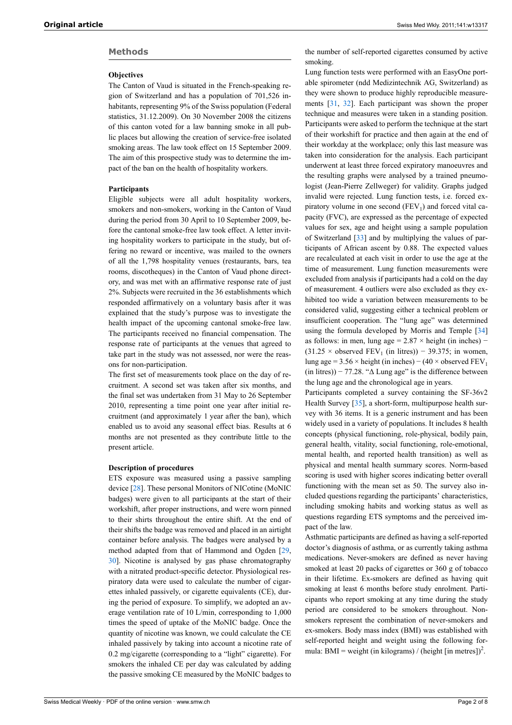## **Methods**

#### **Objectives**

The Canton of Vaud is situated in the French-speaking region of Switzerland and has a population of 701,526 inhabitants, representing 9% of the Swiss population (Federal statistics, 31.12.2009). On 30 November 2008 the citizens of this canton voted for a law banning smoke in all public places but allowing the creation of service-free isolated smoking areas. The law took effect on 15 September 2009. The aim of this prospective study was to determine the impact of the ban on the health of hospitality workers.

#### **Participants**

Eligible subjects were all adult hospitality workers, smokers and non-smokers, working in the Canton of Vaud during the period from 30 April to 10 September 2009, before the cantonal smoke-free law took effect. A letter inviting hospitality workers to participate in the study, but offering no reward or incentive, was mailed to the owners of all the 1,798 hospitality venues (restaurants, bars, tea rooms, discotheques) in the Canton of Vaud phone directory, and was met with an affirmative response rate of just 2%. Subjects were recruited in the 36 establishments which responded affirmatively on a voluntary basis after it was explained that the study's purpose was to investigate the health impact of the upcoming cantonal smoke-free law. The participants received no financial compensation. The response rate of participants at the venues that agreed to take part in the study was not assessed, nor were the reasons for non-participation.

The first set of measurements took place on the day of recruitment. A second set was taken after six months, and the final set was undertaken from 31 May to 26 September 2010, representing a time point one year after initial recruitment (and approximately 1 year after the ban), which enabled us to avoid any seasonal effect bias. Results at 6 months are not presented as they contribute little to the present article.

#### **Description of procedures**

ETS exposure was measured using a passive sampling device [[28\]](#page-6-11). These personal Monitors of NICotine (MoNIC badges) were given to all participants at the start of their workshift, after proper instructions, and were worn pinned to their shirts throughout the entire shift. At the end of their shifts the badge was removed and placed in an airtight container before analysis. The badges were analysed by a method adapted from that of Hammond and Ogden [\[29](#page-6-12), [30](#page-6-13)]. Nicotine is analysed by gas phase chromatography with a nitrated product-specific detector. Physiological respiratory data were used to calculate the number of cigarettes inhaled passively, or cigarette equivalents (CE), during the period of exposure. To simplify, we adopted an average ventilation rate of 10 L/min, corresponding to 1,000 times the speed of uptake of the MoNIC badge. Once the quantity of nicotine was known, we could calculate the CE inhaled passively by taking into account a nicotine rate of 0.2 mg/cigarette (corresponding to a "light" cigarette). For smokers the inhaled CE per day was calculated by adding the passive smoking CE measured by the MoNIC badges to

the number of self-reported cigarettes consumed by active smoking.

Lung function tests were performed with an EasyOne portable spirometer (ndd Medizintechnik AG, Switzerland) as they were shown to produce highly reproducible measurements [\[31](#page-6-14), [32\]](#page-6-15). Each participant was shown the proper technique and measures were taken in a standing position. Participants were asked to perform the technique at the start of their workshift for practice and then again at the end of their workday at the workplace; only this last measure was taken into consideration for the analysis. Each participant underwent at least three forced expiratory manoeuvres and the resulting graphs were analysed by a trained pneumologist (Jean-Pierre Zellweger) for validity. Graphs judged invalid were rejected. Lung function tests, i.e. forced expiratory volume in one second  $(FEV<sub>1</sub>)$  and forced vital capacity (FVC), are expressed as the percentage of expected values for sex, age and height using a sample population of Switzerland [\[33](#page-6-16)] and by multiplying the values of participants of African ascent by 0.88. The expected values are recalculated at each visit in order to use the age at the time of measurement. Lung function measurements were excluded from analysis if participants had a cold on the day of measurement. 4 outliers were also excluded as they exhibited too wide a variation between measurements to be considered valid, suggesting either a technical problem or insufficient cooperation. The "lung age" was determined using the formula developed by Morris and Temple [[34\]](#page-6-17) as follows: in men, lung age =  $2.87 \times$  height (in inches) –  $(31.25 \times$  observed FEV<sub>1</sub> (in litres)) – 39.375; in women, lung age =  $3.56 \times$  height (in inches) – (40 × observed FEV<sub>1</sub> (in litres)) – 77.28. " $\Delta$  Lung age" is the difference between the lung age and the chronological age in years.

Participants completed a survey containing the SF-36v2 Health Survey [\[35](#page-6-18)], a short-form, multipurpose health survey with 36 items. It is a generic instrument and has been widely used in a variety of populations. It includes 8 health concepts (physical functioning, role-physical, bodily pain, general health, vitality, social functioning, role-emotional, mental health, and reported health transition) as well as physical and mental health summary scores. Norm-based scoring is used with higher scores indicating better overall functioning with the mean set as 50. The survey also included questions regarding the participants' characteristics, including smoking habits and working status as well as questions regarding ETS symptoms and the perceived impact of the law.

Asthmatic participants are defined as having a self-reported doctor's diagnosis of asthma, or as currently taking asthma medications. Never-smokers are defined as never having smoked at least 20 packs of cigarettes or 360 g of tobacco in their lifetime. Ex-smokers are defined as having quit smoking at least 6 months before study enrolment. Participants who report smoking at any time during the study period are considered to be smokers throughout. Nonsmokers represent the combination of never-smokers and ex-smokers. Body mass index (BMI) was established with self-reported height and weight using the following formula: BMI = weight (in kilograms) / (height [in metres])<sup>2</sup>.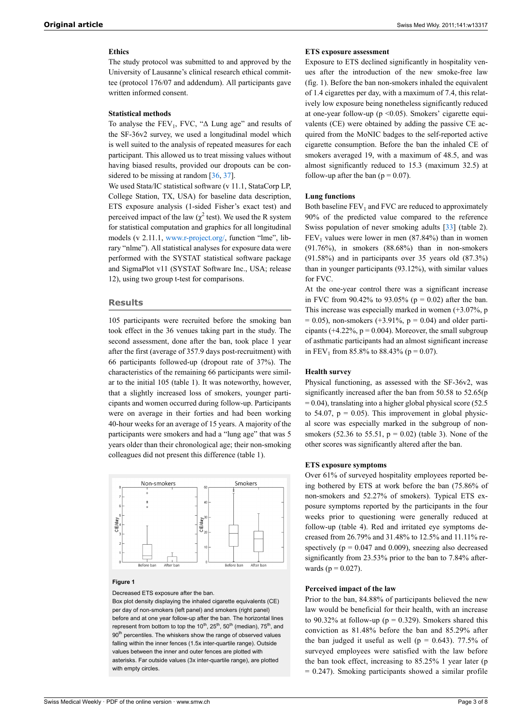## **Ethics**

The study protocol was submitted to and approved by the University of Lausanne's clinical research ethical committee (protocol 176/07 and addendum). All participants gave written informed consent.

## **Statistical methods**

To analyse the  $FEV_1$ ,  $FVC$ , " $\Delta$  Lung age" and results of the SF-36v2 survey, we used a longitudinal model which is well suited to the analysis of repeated measures for each participant. This allowed us to treat missing values without having biased results, provided our dropouts can be con-sidered to be missing at random [[36,](#page-6-19) [37](#page-6-20)].

We used Stata/IC statistical software (v 11.1, StataCorp LP, College Station, TX, USA) for baseline data description, ETS exposure analysis (1-sided Fisher's exact test) and perceived impact of the law ( $\chi^2$  test). We used the R system for statistical computation and graphics for all longitudinal models (v 2.11.1, [www.r-project.org/](http://www.r-project.org), function "lme", library "nlme"). All statistical analyses for exposure data were performed with the SYSTAT statistical software package and SigmaPlot v11 (SYSTAT Software Inc., USA; release 12), using two group t-test for comparisons.

#### **Results**

105 participants were recruited before the smoking ban took effect in the 36 venues taking part in the study. The second assessment, done after the ban, took place 1 year after the first (average of 357.9 days post-recruitment) with 66 participants followed-up (dropout rate of 37%). The characteristics of the remaining 66 participants were similar to the initial 105 (table 1). It was noteworthy, however, that a slightly increased loss of smokers, younger participants and women occurred during follow-up. Participants were on average in their forties and had been working 40-hour weeks for an average of 15 years. A majority of the participants were smokers and had a "lung age" that was 5 years older than their chronological age; their non-smoking colleagues did not present this difference (table 1).



#### **Figure 1**

Decreased ETS exposure after the ban.

Box plot density displaying the inhaled cigarette equivalents (CE) per day of non-smokers (left panel) and smokers (right panel) before and at one year follow-up after the ban. The horizontal lines represent from bottom to top the  $10^{th}$ ,  $25^{th}$ ,  $50^{th}$  (median),  $75^{th}$ , and 90<sup>th</sup> percentiles. The whiskers show the range of observed values falling within the inner fences (1.5x inter-quartile range). Outside values between the inner and outer fences are plotted with asterisks. Far outside values (3x inter-quartile range), are plotted with empty circles

#### **ETS exposure assessment**

Exposure to ETS declined significantly in hospitality venues after the introduction of the new smoke-free law (fig. 1). Before the ban non-smokers inhaled the equivalent of 1.4 cigarettes per day, with a maximum of 7.4, this relatively low exposure being nonetheless significantly reduced at one-year follow-up ( $p \le 0.05$ ). Smokers' cigarette equivalents (CE) were obtained by adding the passive CE acquired from the MoNIC badges to the self-reported active cigarette consumption. Before the ban the inhaled CE of smokers averaged 19, with a maximum of 48.5, and was almost significantly reduced to 15.3 (maximum 32.5) at follow-up after the ban  $(p = 0.07)$ .

#### **Lung functions**

Both baseline  $FEV<sub>1</sub>$  and FVC are reduced to approximately 90% of the predicted value compared to the reference Swiss population of never smoking adults [[33\]](#page-6-16) (table 2).  $FEV<sub>1</sub>$  values were lower in men (87.84%) than in women (91.76%), in smokers (88.68%) than in non-smokers (91.58%) and in participants over 35 years old (87.3%) than in younger participants (93.12%), with similar values for FVC.

At the one-year control there was a significant increase in FVC from  $90.42\%$  to  $93.05\%$  (p = 0.02) after the ban. This increase was especially marked in women (+3.07%, p  $= 0.05$ ), non-smokers (+3.91%, p = 0.04) and older participants ( $+4.22\%$ ,  $p = 0.004$ ). Moreover, the small subgroup of asthmatic participants had an almost significant increase in FEV<sub>1</sub> from 85.8% to 88.43% ( $p = 0.07$ ).

#### **Health survey**

Physical functioning, as assessed with the SF-36v2, was significantly increased after the ban from 50.58 to 52.65(p  $= 0.04$ ), translating into a higher global physical score (52.5) to 54.07,  $p = 0.05$ ). This improvement in global physical score was especially marked in the subgroup of nonsmokers (52.36 to 55.51,  $p = 0.02$ ) (table 3). None of the other scores was significantly altered after the ban.

#### **ETS exposure symptoms**

Over 61% of surveyed hospitality employees reported being bothered by ETS at work before the ban (75.86% of non-smokers and 52.27% of smokers). Typical ETS exposure symptoms reported by the participants in the four weeks prior to questioning were generally reduced at follow-up (table 4). Red and irritated eye symptoms decreased from 26.79% and 31.48% to 12.5% and 11.11% respectively ( $p = 0.047$  and 0.009), sneezing also decreased significantly from 23.53% prior to the ban to 7.84% afterwards ( $p = 0.027$ ).

#### **Perceived impact of the law**

Prior to the ban, 84.88% of participants believed the new law would be beneficial for their health, with an increase to 90.32% at follow-up ( $p = 0.329$ ). Smokers shared this conviction as 81.48% before the ban and 85.29% after the ban judged it useful as well ( $p = 0.643$ ). 77.5% of surveyed employees were satisfied with the law before the ban took effect, increasing to 85.25% 1 year later (p  $= 0.247$ ). Smoking participants showed a similar profile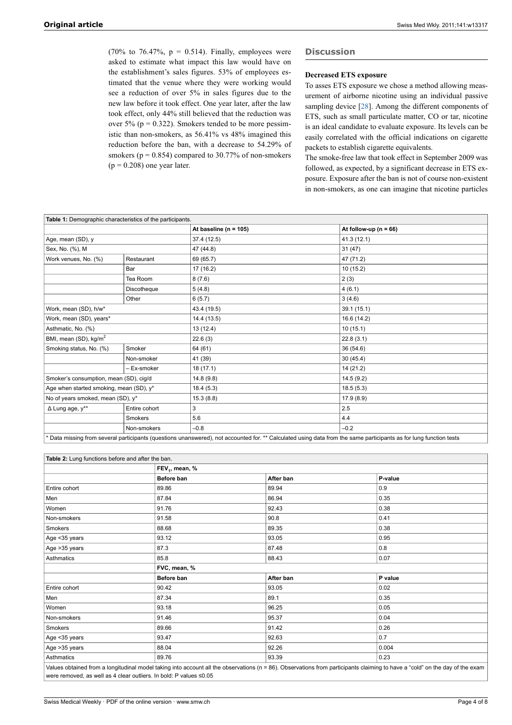(70% to 76.47%,  $p = 0.514$ ). Finally, employees were asked to estimate what impact this law would have on the establishment's sales figures. 53% of employees estimated that the venue where they were working would see a reduction of over 5% in sales figures due to the new law before it took effect. One year later, after the law took effect, only 44% still believed that the reduction was over 5% ( $p = 0.322$ ). Smokers tended to be more pessimistic than non-smokers, as 56.41% vs 48% imagined this reduction before the ban, with a decrease to 54.29% of smokers ( $p = 0.854$ ) compared to 30.77% of non-smokers  $(p = 0.208)$  one year later.

## **Discussion**

## **Decreased ETS exposure**

To asses ETS exposure we chose a method allowing measurement of airborne nicotine using an individual passive sampling device [\[28](#page-6-11)]. Among the different components of ETS, such as small particulate matter, CO or tar, nicotine is an ideal candidate to evaluate exposure. Its levels can be easily correlated with the official indications on cigarette packets to establish cigarette equivalents.

The smoke-free law that took effect in September 2009 was followed, as expected, by a significant decrease in ETS exposure. Exposure after the ban is not of course non-existent in non-smokers, as one can imagine that nicotine particles

| Table 1: Demographic characteristics of the participants.                                                                                                          |                        |                           |                           |  |  |
|--------------------------------------------------------------------------------------------------------------------------------------------------------------------|------------------------|---------------------------|---------------------------|--|--|
|                                                                                                                                                                    |                        | At baseline ( $n = 105$ ) | At follow-up ( $n = 66$ ) |  |  |
| Age, mean (SD), y                                                                                                                                                  |                        | 37.4 (12.5)               | 41.3(12.1)                |  |  |
| Sex, No. (%), M                                                                                                                                                    | 47 (44.8)<br>31(47)    |                           |                           |  |  |
| Work venues, No. (%)<br>Restaurant                                                                                                                                 |                        | 69 (65.7)                 | 47 (71.2)                 |  |  |
|                                                                                                                                                                    | Bar                    | 17 (16.2)                 | 10(15.2)                  |  |  |
|                                                                                                                                                                    | Tea Room               | 8(7.6)                    | 2(3)                      |  |  |
|                                                                                                                                                                    | Discotheque            | 5(4.8)                    | 4(6.1)                    |  |  |
|                                                                                                                                                                    | Other                  | 6(5.7)                    | 3(4.6)                    |  |  |
| Work, mean (SD), h/w*                                                                                                                                              |                        | 43.4 (19.5)               | 39.1(15.1)                |  |  |
| Work, mean (SD), years*                                                                                                                                            |                        | 14.4 (13.5)               | 16.6 (14.2)               |  |  |
| Asthmatic, No. (%)                                                                                                                                                 |                        | 13 (12.4)                 | 10(15.1)                  |  |  |
| BMI, mean (SD), kg/m <sup>2</sup>                                                                                                                                  |                        | 22.6(3)                   | 22.8(3.1)                 |  |  |
| Smoking status, No. (%)                                                                                                                                            | Smoker                 | 64 (61)                   | 36(54.6)                  |  |  |
|                                                                                                                                                                    | Non-smoker             | 41 (39)                   | 30(45.4)                  |  |  |
|                                                                                                                                                                    | - Ex-smoker            | 18(17.1)                  | 14 (21.2)                 |  |  |
| Smoker's consumption, mean (SD), cig/d                                                                                                                             |                        | 14.8(9.8)                 | 14.5(9.2)                 |  |  |
| Age when started smoking, mean (SD), $y^*$                                                                                                                         |                        | 18.4(5.3)                 | 18.5(5.3)                 |  |  |
| No of years smoked, mean (SD), y*                                                                                                                                  | 17.9(8.9)<br>15.3(8.8) |                           |                           |  |  |
| $\Delta$ Lung age, $y^{**}$                                                                                                                                        | Entire cohort          | 3                         | 2.5                       |  |  |
|                                                                                                                                                                    | <b>Smokers</b>         | 5.6                       | 4.4                       |  |  |
|                                                                                                                                                                    | Non-smokers            | $-0.8$                    | $-0.2$                    |  |  |
| * Deta miseine from enverol nortiginante (eventions vanancuscal), not accounted for ** Coloulated vaior data from the same nortiginante on for lune function tools |                        |                           |                           |  |  |

Data missing from several participants (questions unanswered), not accounted for. \*\* Calculated using data from the same participants as for lung function tests

| Table 2: Lung functions before and after the ban.                  |                                                                                                                                                                              |           |         |  |  |  |  |
|--------------------------------------------------------------------|------------------------------------------------------------------------------------------------------------------------------------------------------------------------------|-----------|---------|--|--|--|--|
|                                                                    | FEV <sub>1</sub> , mean, %                                                                                                                                                   |           |         |  |  |  |  |
|                                                                    | Before ban                                                                                                                                                                   | After ban | P-value |  |  |  |  |
| Entire cohort                                                      | 89.86                                                                                                                                                                        | 89.94     | 0.9     |  |  |  |  |
| Men                                                                | 87.84                                                                                                                                                                        | 86.94     | 0.35    |  |  |  |  |
| Women                                                              | 91.76                                                                                                                                                                        | 92.43     | 0.38    |  |  |  |  |
| Non-smokers                                                        | 91.58                                                                                                                                                                        | 90.8      | 0.41    |  |  |  |  |
| Smokers                                                            | 88.68                                                                                                                                                                        | 89.35     | 0.38    |  |  |  |  |
| Age <35 years                                                      | 93.12                                                                                                                                                                        | 93.05     | 0.95    |  |  |  |  |
| Age > 35 years                                                     | 87.3                                                                                                                                                                         | 87.48     | 0.8     |  |  |  |  |
| Asthmatics                                                         | 85.8                                                                                                                                                                         | 88.43     | 0.07    |  |  |  |  |
|                                                                    | FVC, mean, %                                                                                                                                                                 |           |         |  |  |  |  |
|                                                                    | Before ban                                                                                                                                                                   | After ban | P value |  |  |  |  |
| Entire cohort                                                      | 90.42                                                                                                                                                                        | 93.05     | 0.02    |  |  |  |  |
| Men                                                                | 87.34                                                                                                                                                                        | 89.1      | 0.35    |  |  |  |  |
| Women                                                              | 93.18                                                                                                                                                                        | 96.25     | 0.05    |  |  |  |  |
| Non-smokers                                                        | 91.46                                                                                                                                                                        | 95.37     | 0.04    |  |  |  |  |
| Smokers                                                            | 89.66                                                                                                                                                                        | 91.42     | 0.26    |  |  |  |  |
| Age <35 years                                                      | 93.47                                                                                                                                                                        | 92.63     | 0.7     |  |  |  |  |
| Age > 35 years                                                     | 88.04                                                                                                                                                                        | 92.26     | 0.004   |  |  |  |  |
| Asthmatics                                                         | 89.76                                                                                                                                                                        | 93.39     | 0.23    |  |  |  |  |
|                                                                    | Values obtained from a longitudinal model taking into account all the observations (n = 86). Observations from participants claiming to have a "cold" on the day of the exam |           |         |  |  |  |  |
| were removed, as well as 4 clear outliers. In bold: P values ≤0.05 |                                                                                                                                                                              |           |         |  |  |  |  |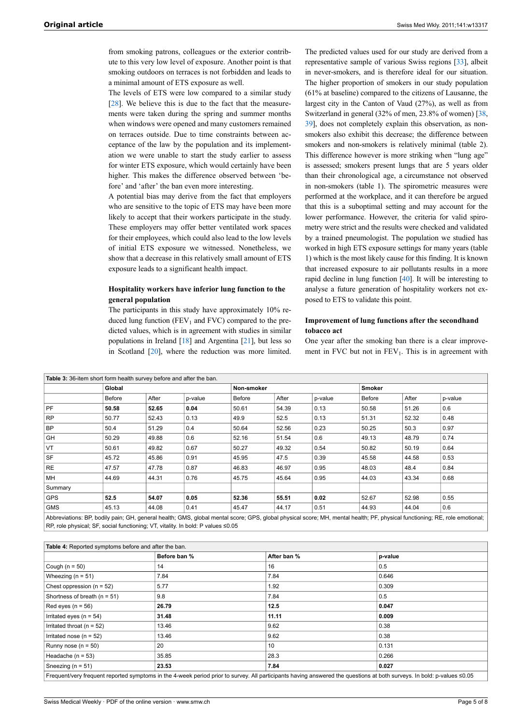from smoking patrons, colleagues or the exterior contribute to this very low level of exposure. Another point is that smoking outdoors on terraces is not forbidden and leads to a minimal amount of ETS exposure as well.

The levels of ETS were low compared to a similar study [\[28](#page-6-11)]. We believe this is due to the fact that the measurements were taken during the spring and summer months when windows were opened and many customers remained on terraces outside. Due to time constraints between acceptance of the law by the population and its implementation we were unable to start the study earlier to assess for winter ETS exposure, which would certainly have been higher. This makes the difference observed between 'before' and 'after' the ban even more interesting.

A potential bias may derive from the fact that employers who are sensitive to the topic of ETS may have been more likely to accept that their workers participate in the study. These employers may offer better ventilated work spaces for their employees, which could also lead to the low levels of initial ETS exposure we witnessed. Nonetheless, we show that a decrease in this relatively small amount of ETS exposure leads to a significant health impact.

## **Hospitality workers have inferior lung function to the general population**

The participants in this study have approximately 10% reduced lung function ( $FEV<sub>1</sub>$  and  $FVC$ ) compared to the predicted values, which is in agreement with studies in similar populations in Ireland [\[18\]](#page-6-21) and Argentina [[21\]](#page-6-7), but less so in Scotland [\[20\]](#page-6-22), where the reduction was more limited.

The predicted values used for our study are derived from a representative sample of various Swiss regions [\[33](#page-6-16)], albeit in never-smokers, and is therefore ideal for our situation. The higher proportion of smokers in our study population (61% at baseline) compared to the citizens of Lausanne, the largest city in the Canton of Vaud (27%), as well as from Switzerland in general (32% of men, 23.8% of women) [[38,](#page-6-23) [39](#page-6-24)], does not completely explain this observation, as nonsmokers also exhibit this decrease; the difference between smokers and non-smokers is relatively minimal (table 2). This difference however is more striking when "lung age" is assessed; smokers present lungs that are 5 years older than their chronological age, a circumstance not observed in non-smokers (table 1). The spirometric measures were performed at the workplace, and it can therefore be argued that this is a suboptimal setting and may account for the lower performance. However, the criteria for valid spirometry were strict and the results were checked and validated by a trained pneumologist. The population we studied has worked in high ETS exposure settings for many years (table 1) which is the most likely cause for this finding. It is known that increased exposure to air pollutants results in a more rapid decline in lung function [\[40](#page-6-25)]. It will be interesting to analyse a future generation of hospitality workers not exposed to ETS to validate this point.

## **Improvement of lung functions after the secondhand tobacco act**

One year after the smoking ban there is a clear improvement in FVC but not in  $FEV_1$ . This is in agreement with

|            | Table 3: 36-item short form health survey before and after the ban. |       |         |        |            |         |               |       |                                                                                                                                                                           |  |
|------------|---------------------------------------------------------------------|-------|---------|--------|------------|---------|---------------|-------|---------------------------------------------------------------------------------------------------------------------------------------------------------------------------|--|
|            | Global                                                              |       |         |        | Non-smoker |         | <b>Smoker</b> |       |                                                                                                                                                                           |  |
|            | Before                                                              | After | p-value | Before | After      | p-value | Before        | After | p-value                                                                                                                                                                   |  |
| PF         | 50.58                                                               | 52.65 | 0.04    | 50.61  | 54.39      | 0.13    | 50.58         | 51.26 | 0.6                                                                                                                                                                       |  |
| <b>RP</b>  | 50.77                                                               | 52.43 | 0.13    | 49.9   | 52.5       | 0.13    | 51.31         | 52.32 | 0.48                                                                                                                                                                      |  |
| <b>BP</b>  | 50.4                                                                | 51.29 | 0.4     | 50.64  | 52.56      | 0.23    | 50.25         | 50.3  | 0.97                                                                                                                                                                      |  |
| GH         | 50.29                                                               | 49.88 | 0.6     | 52.16  | 51.54      | 0.6     | 49.13         | 48.79 | 0.74                                                                                                                                                                      |  |
| VT         | 50.61                                                               | 49.82 | 0.67    | 50.27  | 49.32      | 0.54    | 50.82         | 50.19 | 0.64                                                                                                                                                                      |  |
| <b>SF</b>  | 45.72                                                               | 45.86 | 0.91    | 45.95  | 47.5       | 0.39    | 45.58         | 44.58 | 0.53                                                                                                                                                                      |  |
| <b>RE</b>  | 47.57                                                               | 47.78 | 0.87    | 46.83  | 46.97      | 0.95    | 48.03         | 48.4  | 0.84                                                                                                                                                                      |  |
| MH         | 44.69                                                               | 44.31 | 0.76    | 45.75  | 45.64      | 0.95    | 44.03         | 43.34 | 0.68                                                                                                                                                                      |  |
| Summary    |                                                                     |       |         |        |            |         |               |       |                                                                                                                                                                           |  |
| <b>GPS</b> | 52.5                                                                | 54.07 | 0.05    | 52.36  | 55.51      | 0.02    | 52.67         | 52.98 | 0.55                                                                                                                                                                      |  |
| <b>GMS</b> | 45.13                                                               | 44.08 | 0.41    | 45.47  | 44.17      | 0.51    | 44.93         | 44.04 | 0.6                                                                                                                                                                       |  |
|            |                                                                     |       |         |        |            |         |               |       | Abbroviationa: PD bodily nain: CH, general boolth: CMC, global mental georg: CDC, global physical georg: MH, mental boolth: DE, physical functioning: DE, rela emotional: |  |

Abbreviations: BP, bodily pain; GH, general health; GMS, global mental score; GPS, global physical score; MH, mental health; PF, physical functioning; RE, role emotional; RP, role physical; SF, social functioning; VT, vitality. In bold: P values ≤0.05

| Table 4: Reported symptoms before and after the ban. |              |             |                                                                                                                                                                        |
|------------------------------------------------------|--------------|-------------|------------------------------------------------------------------------------------------------------------------------------------------------------------------------|
|                                                      | Before ban % | After ban % | p-value                                                                                                                                                                |
| Cough ( $n = 50$ )                                   | 14           | 16          | 0.5                                                                                                                                                                    |
| Wheezing ( $n = 51$ )                                | 7.84         | 7.84        | 0.646                                                                                                                                                                  |
| Chest oppression ( $n = 52$ )                        | 5.77         | 1.92        | 0.309                                                                                                                                                                  |
| Shortness of breath (n = 51)                         | 9.8          | 7.84        | 0.5                                                                                                                                                                    |
| Red eyes ( $n = 56$ )                                | 26.79        | 12.5        | 0.047                                                                                                                                                                  |
| Irritated eyes ( $n = 54$ )                          | 31.48        | 11.11       | 0.009                                                                                                                                                                  |
| Irritated throat ( $n = 52$ )                        | 13.46        | 9.62        | 0.38                                                                                                                                                                   |
| Irritated nose ( $n = 52$ )                          | 13.46        | 9.62        | 0.38                                                                                                                                                                   |
| Runny nose (n = 50)                                  | 20           | 10          | 0.131                                                                                                                                                                  |
| Headache ( $n = 53$ )                                | 35.85        | 28.3        | 0.266                                                                                                                                                                  |
| Sneezing ( $n = 51$ )                                | 23.53        | 7.84        | 0.027                                                                                                                                                                  |
|                                                      |              |             | Frequent/very frequent reported symptoms in the 4-week period prior to survey. All participants baying answered the questions at both surveys. In bold: p-values <0.05 |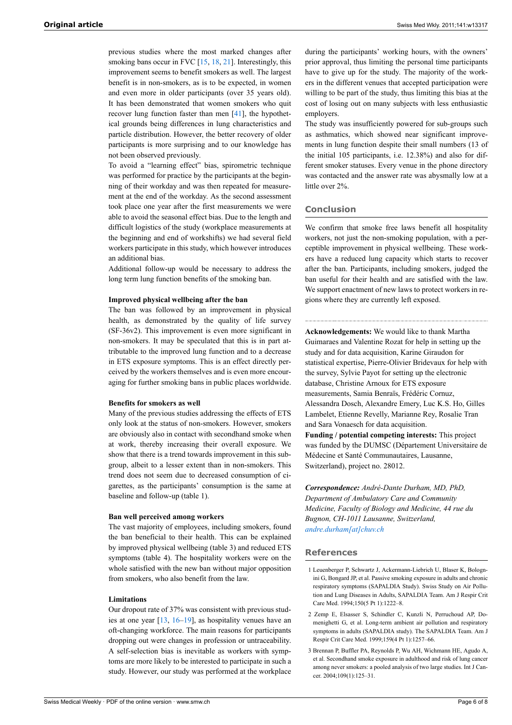previous studies where the most marked changes after smoking bans occur in FVC [\[15](#page-6-26), [18,](#page-6-21) [21](#page-6-7)]. Interestingly, this improvement seems to benefit smokers as well. The largest benefit is in non-smokers, as is to be expected, in women and even more in older participants (over 35 years old). It has been demonstrated that women smokers who quit recover lung function faster than men [\[41](#page-6-27)], the hypothetical grounds being differences in lung characteristics and particle distribution. However, the better recovery of older participants is more surprising and to our knowledge has not been observed previously.

To avoid a "learning effect" bias, spirometric technique was performed for practice by the participants at the beginning of their workday and was then repeated for measurement at the end of the workday. As the second assessment took place one year after the first measurements we were able to avoid the seasonal effect bias. Due to the length and difficult logistics of the study (workplace measurements at the beginning and end of workshifts) we had several field workers participate in this study, which however introduces an additional bias.

Additional follow-up would be necessary to address the long term lung function benefits of the smoking ban.

#### **Improved physical wellbeing after the ban**

The ban was followed by an improvement in physical health, as demonstrated by the quality of life survey (SF-36v2). This improvement is even more significant in non-smokers. It may be speculated that this is in part attributable to the improved lung function and to a decrease in ETS exposure symptoms. This is an effect directly perceived by the workers themselves and is even more encouraging for further smoking bans in public places worldwide.

#### **Benefits for smokers as well**

Many of the previous studies addressing the effects of ETS only look at the status of non-smokers. However, smokers are obviously also in contact with secondhand smoke when at work, thereby increasing their overall exposure. We show that there is a trend towards improvement in this subgroup, albeit to a lesser extent than in non-smokers. This trend does not seem due to decreased consumption of cigarettes, as the participants' consumption is the same at baseline and follow-up (table 1).

#### **Ban well perceived among workers**

The vast majority of employees, including smokers, found the ban beneficial to their health. This can be explained by improved physical wellbeing (table 3) and reduced ETS symptoms (table 4). The hospitality workers were on the whole satisfied with the new ban without major opposition from smokers, who also benefit from the law.

## <span id="page-5-0"></span>**Limitations**

<span id="page-5-2"></span><span id="page-5-1"></span>Our dropout rate of 37% was consistent with previous studies at one year [[13,](#page-6-6) [16](#page-6-28)[–19](#page-6-29)], as hospitality venues have an oft-changing workforce. The main reasons for participants dropping out were changes in profession or untraceability. A self-selection bias is inevitable as workers with symptoms are more likely to be interested to participate in such a study. However, our study was performed at the workplace

during the participants' working hours, with the owners' prior approval, thus limiting the personal time participants have to give up for the study. The majority of the workers in the different venues that accepted participation were willing to be part of the study, thus limiting this bias at the cost of losing out on many subjects with less enthusiastic employers.

The study was insufficiently powered for sub-groups such as asthmatics, which showed near significant improvements in lung function despite their small numbers (13 of the initial 105 participants, i.e. 12.38%) and also for different smoker statuses. Every venue in the phone directory was contacted and the answer rate was abysmally low at a little over 2%.

#### **Conclusion**

We confirm that smoke free laws benefit all hospitality workers, not just the non-smoking population, with a perceptible improvement in physical wellbeing. These workers have a reduced lung capacity which starts to recover after the ban. Participants, including smokers, judged the ban useful for their health and are satisfied with the law. We support enactment of new laws to protect workers in regions where they are currently left exposed.

**Acknowledgements:** We would like to thank Martha Guimaraes and Valentine Rozat for help in setting up the study and for data acquisition, Karine Giraudon for statistical expertise, Pierre-Olivier Bridevaux for help with the survey, Sylvie Payot for setting up the electronic database, Christine Arnoux for ETS exposure measurements, Samia Benraïs, Frédéric Cornuz, Alessandra Dosch, Alexandre Emery, Luc K.S. Ho, Gilles Lambelet, Etienne Revelly, Marianne Rey, Rosalie Tran and Sara Vonaesch for data acquisition. **Funding / potential competing interests:** This project was funded by the DUMSC (Département Universitaire de Médecine et Santé Communautaires, Lausanne, Switzerland), project no. 28012.

*Correspondence: André-Dante Durham, MD, PhD, Department of Ambulatory Care and Community Medicine, Faculty of Biology and Medicine, 44 rue du Bugnon, CH-1011 Lausanne, Switzerland, [andre.durham\[at\]chuv.ch](mailto:andre.durham@chuv.ch)*

#### **References**

- 1 Leuenberger P, Schwartz J, Ackermann-Liebrich U, Blaser K, Bolognini G, Bongard JP, et al. Passive smoking exposure in adults and chronic respiratory symptoms (SAPALDIA Study). Swiss Study on Air Pollution and Lung Diseases in Adults, SAPALDIA Team. Am J Respir Crit Care Med. 1994;150(5 Pt 1):1222–8.
- 2 Zemp E, Elsasser S, Schindler C, Kunzli N, Perruchoud AP, Domenighetti G, et al. Long-term ambient air pollution and respiratory symptoms in adults (SAPALDIA study). The SAPALDIA Team. Am J Respir Crit Care Med. 1999;159(4 Pt 1):1257–66.
- 3 Brennan P, Buffler PA, Reynolds P, Wu AH, Wichmann HE, Agudo A, et al. Secondhand smoke exposure in adulthood and risk of lung cancer among never smokers: a pooled analysis of two large studies. Int J Cancer. 2004;109(1):125–31.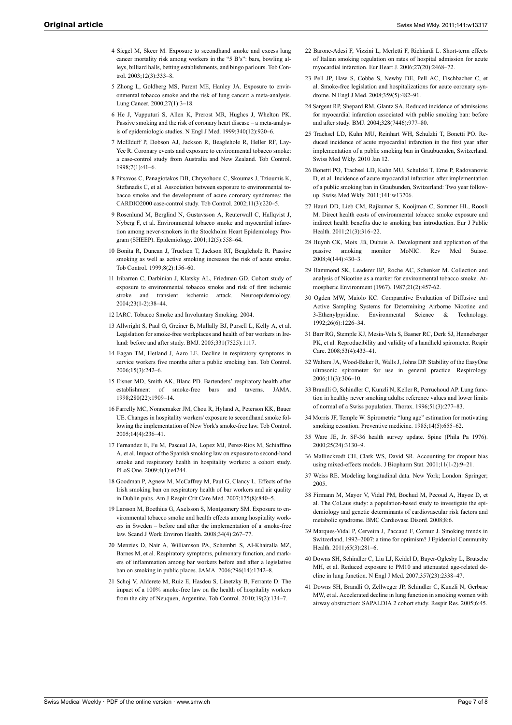- <span id="page-6-8"></span>4 Siegel M, Skeer M. Exposure to secondhand smoke and excess lung cancer mortality risk among workers in the "5 B's": bars, bowling alleys, billiard halls, betting establishments, and bingo parlours. Tob Control. 2003;12(3):333–8.
- <span id="page-6-0"></span>5 Zhong L, Goldberg MS, Parent ME, Hanley JA. Exposure to environmental tobacco smoke and the risk of lung cancer: a meta-analysis. Lung Cancer. 2000;27(1):3–18.
- <span id="page-6-1"></span>6 He J, Vupputuri S, Allen K, Prerost MR, Hughes J, Whelton PK. Passive smoking and the risk of coronary heart disease – a meta-analysis of epidemiologic studies. N Engl J Med. 1999;340(12):920–6.
- 7 McElduff P, Dobson AJ, Jackson R, Beaglehole R, Heller RF, Lay-Yee R. Coronary events and exposure to environmental tobacco smoke: a case-control study from Australia and New Zealand. Tob Control. 1998;7(1):41–6.
- <span id="page-6-9"></span>8 Pitsavos C, Panagiotakos DB, Chrysohoou C, Skoumas J, Tzioumis K, Stefanadis C, et al. Association between exposure to environmental tobacco smoke and the development of acute coronary syndromes: the CARDIO2000 case-control study. Tob Control. 2002;11(3):220–5.
- <span id="page-6-10"></span><span id="page-6-2"></span>9 Rosenlund M, Berglind N, Gustavsson A, Reuterwall C, Hallqvist J, Nyberg F, et al. Environmental tobacco smoke and myocardial infarction among never-smokers in the Stockholm Heart Epidemiology Program (SHEEP). Epidemiology. 2001;12(5):558–64.
- <span id="page-6-11"></span><span id="page-6-3"></span>10 Bonita R, Duncan J, Truelsen T, Jackson RT, Beaglehole R. Passive smoking as well as active smoking increases the risk of acute stroke. Tob Control. 1999;8(2):156–60.
- <span id="page-6-12"></span><span id="page-6-4"></span>11 Iribarren C, Darbinian J, Klatsky AL, Friedman GD. Cohort study of exposure to environmental tobacco smoke and risk of first ischemic stroke and transient ischemic attack. Neuroepidemiology 2004;23(1-2):38–44.
- <span id="page-6-13"></span><span id="page-6-6"></span><span id="page-6-5"></span>12 IARC. Tobacco Smoke and Involuntary Smoking. 2004.
- <span id="page-6-14"></span>13 Allwright S, Paul G, Greiner B, Mullally BJ, Pursell L, Kelly A, et al. Legislation for smoke-free workplaces and health of bar workers in Ireland: before and after study. BMJ. 2005;331(7525):1117.
- <span id="page-6-15"></span>14 Eagan TM, Hetland J, Aaro LE. Decline in respiratory symptoms in service workers five months after a public smoking ban. Tob Control. 2006;15(3):242–6.
- <span id="page-6-26"></span><span id="page-6-16"></span>15 Eisner MD, Smith AK, Blanc PD. Bartenders' respiratory health after establishment of smoke-free bars and taverns. JAMA. 1998;280(22):1909–14.
- <span id="page-6-28"></span><span id="page-6-17"></span>16 Farrelly MC, Nonnemaker JM, Chou R, Hyland A, Peterson KK, Bauer UE. Changes in hospitality workers' exposure to secondhand smoke following the implementation of New York's smoke-free law. Tob Control. 2005;14(4):236–41.
- <span id="page-6-19"></span><span id="page-6-18"></span>17 Fernandez E, Fu M, Pascual JA, Lopez MJ, Perez-Rios M, Schiaffino A, et al. Impact of the Spanish smoking law on exposure to second-hand smoke and respiratory health in hospitality workers: a cohort study. PLoS One. 2009;4(1):e4244.
- <span id="page-6-23"></span><span id="page-6-21"></span><span id="page-6-20"></span>18 Goodman P, Agnew M, McCaffrey M, Paul G, Clancy L. Effects of the Irish smoking ban on respiratory health of bar workers and air quality in Dublin pubs. Am J Respir Crit Care Med. 2007;175(8):840–5.
- <span id="page-6-29"></span>19 Larsson M, Boethius G, Axelsson S, Montgomery SM. Exposure to environmental tobacco smoke and health effects among hospitality workers in Sweden – before and after the implementation of a smoke-free law. Scand J Work Environ Health. 2008;34(4):267–77.
- <span id="page-6-25"></span><span id="page-6-24"></span><span id="page-6-22"></span>20 Menzies D, Nair A, Williamson PA, Schembri S, Al-Khairalla MZ, Barnes M, et al. Respiratory symptoms, pulmonary function, and markers of inflammation among bar workers before and after a legislative ban on smoking in public places. JAMA. 2006;296(14):1742–8.
- <span id="page-6-27"></span><span id="page-6-7"></span>21 Schoj V, Alderete M, Ruiz E, Hasdeu S, Linetzky B, Ferrante D. The impact of a 100% smoke-free law on the health of hospitality workers from the city of Neuquen, Argentina. Tob Control. 2010;19(2):134–7.
- 22 Barone-Adesi F, Vizzini L, Merletti F, Richiardi L. Short-term effects of Italian smoking regulation on rates of hospital admission for acute myocardial infarction. Eur Heart J. 2006;27(20):2468–72.
- 23 Pell JP, Haw S, Cobbe S, Newby DE, Pell AC, Fischbacher C, et al. Smoke-free legislation and hospitalizations for acute coronary syndrome. N Engl J Med. 2008;359(5):482–91.
- 24 Sargent RP, Shepard RM, Glantz SA. Reduced incidence of admissions for myocardial infarction associated with public smoking ban: before and after study. BMJ. 2004;328(7446):977–80.
- 25 Trachsel LD, Kuhn MU, Reinhart WH, Schulzki T, Bonetti PO. Reduced incidence of acute myocardial infarction in the first year after implementation of a public smoking ban in Graubuenden, Switzerland. Swiss Med Wkly. 2010 Jan 12.
- 26 Bonetti PO, Trachsel LD, Kuhn MU, Schulzki T, Erne P, Radovanovic D, et al. Incidence of acute myocardial infarction after implementation of a public smoking ban in Graubunden, Switzerland: Two year followup. Swiss Med Wkly. 2011;141:w13206.
- 27 Hauri DD, Lieb CM, Rajkumar S, Kooijman C, Sommer HL, Roosli M. Direct health costs of environmental tobacco smoke exposure and indirect health benefits due to smoking ban introduction. Eur J Public Health. 2011;21(3):316–22.
- 28 Huynh CK, Moix JB, Dubuis A. Development and application of the passive smoking monitor MoNIC. Rev Med Suisse. 2008;4(144):430–3.
- 29 Hammond SK, Leaderer BP, Roche AC, Schenker M. Collection and analysis of Nicotine as a marker for environmental tobacco smoke. Atmospheric Environment (1967). 1987;21(2):457-62.
- 30 Ogden MW, Maiolo KC. Comparative Evaluation of Diffusive and Active Sampling Systems for Determining Airborne Nicotine and 3-Ethenylpyridine. Environmental Science & Technology. 1992;26(6):1226–34.
- 31 Barr RG, Stemple KJ, Mesia-Vela S, Basner RC, Derk SJ, Henneberger PK, et al. Reproducibility and validity of a handheld spirometer. Respir Care. 2008;53(4):433–41.
- 32 Walters JA, Wood-Baker R, Walls J, Johns DP. Stability of the EasyOne ultrasonic spirometer for use in general practice. Respirology. 2006;11(3):306–10.
- 33 Brandli O, Schindler C, Kunzli N, Keller R, Perruchoud AP. Lung function in healthy never smoking adults: reference values and lower limits of normal of a Swiss population. Thorax. 1996;51(3):277–83.
- 34 Morris JF, Temple W. Spirometric "lung age" estimation for motivating smoking cessation. Preventive medicine. 1985;14(5):655–62.
- 35 Ware JE, Jr. SF-36 health survey update. Spine (Phila Pa 1976). 2000;25(24):3130–9.
- 36 Mallinckrodt CH, Clark WS, David SR. Accounting for dropout bias using mixed-effects models. J Biopharm Stat. 2001;11(1-2):9–21.
- 37 Weiss RE. Modeling longitudinal data. New York; London: Springer; 2005.
- 38 Firmann M, Mayor V, Vidal PM, Bochud M, Pecoud A, Hayoz D, et al. The CoLaus study: a population-based study to investigate the epidemiology and genetic determinants of cardiovascular risk factors and metabolic syndrome. BMC Cardiovasc Disord. 2008;8:6.
- 39 Marques-Vidal P, Cerveira J, Paccaud F, Cornuz J. Smoking trends in Switzerland, 1992–2007: a time for optimism? J Epidemiol Community Health. 2011;65(3):281–6.
- 40 Downs SH, Schindler C, Liu LJ, Keidel D, Bayer-Oglesby L, Brutsche MH, et al. Reduced exposure to PM10 and attenuated age-related decline in lung function. N Engl J Med. 2007;357(23):2338–47.
- 41 Downs SH, Brandli O, Zellweger JP, Schindler C, Kunzli N, Gerbase MW, et al. Accelerated decline in lung function in smoking women with airway obstruction: SAPALDIA 2 cohort study. Respir Res. 2005;6:45.